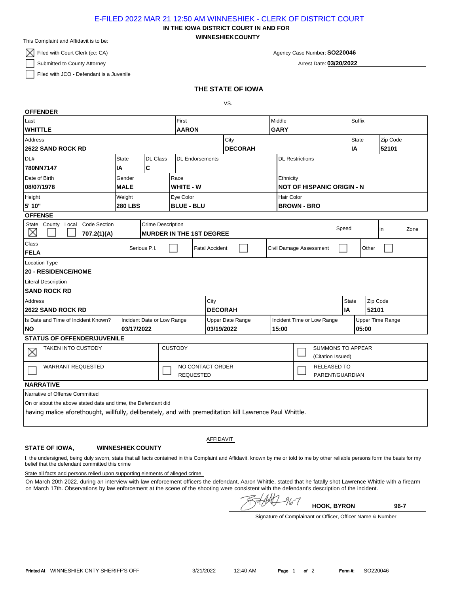## E-FILED 2022 MAR 21 12:50 AM WINNESHIEK - CLERK OF DISTRICT COURT

**WINNESHIEKCOUNTY IN THE IOWA DISTRICT COURT IN AND FOR**

This Complaint and Affidavit is to be:

 $\boxtimes$  Filed with Court Clerk (cc: CA)

Submitted to County Attorney

Filed with JCO - Defendant is a Juvenile

Arrest Date: **03/20/2022**

## **THE STATE OF IOWA**

VS.

| <b>OFFENDER</b>                                                                                         |                          |                |                        |                                                  |                  |                            |                                               |                                       |                         |          |      |  |
|---------------------------------------------------------------------------------------------------------|--------------------------|----------------|------------------------|--------------------------------------------------|------------------|----------------------------|-----------------------------------------------|---------------------------------------|-------------------------|----------|------|--|
| Last                                                                                                    |                          |                |                        |                                                  |                  | Middle                     |                                               |                                       | Suffix                  |          |      |  |
| <b>WHITTLE</b>                                                                                          |                          |                |                        | <b>AARON</b>                                     |                  | <b>GARY</b>                |                                               |                                       |                         |          |      |  |
| <b>Address</b>                                                                                          |                          |                |                        |                                                  | City             |                            |                                               |                                       | <b>State</b>            | Zip Code |      |  |
| <b>2622 SAND ROCK RD</b>                                                                                |                          |                |                        |                                                  | <b>DECORAH</b>   |                            |                                               |                                       | IA                      | 52101    |      |  |
| DL#<br><b>State</b><br><b>DL Class</b>                                                                  |                          |                | <b>DL Endorsements</b> |                                                  |                  |                            | <b>DL Restrictions</b>                        |                                       |                         |          |      |  |
| IA<br>780NN7147                                                                                         |                          | C              |                        |                                                  |                  |                            |                                               |                                       |                         |          |      |  |
| Date of Birth                                                                                           | Gender                   |                | Race                   |                                                  |                  |                            | Ethnicity                                     |                                       |                         |          |      |  |
| 08/07/1978                                                                                              | <b>MALE</b>              |                | <b>WHITE - W</b>       |                                                  |                  |                            | <b>NOT OF HISPANIC ORIGIN - N</b>             |                                       |                         |          |      |  |
| Height                                                                                                  | Weight                   |                | Eye Color              |                                                  |                  |                            | Hair Color                                    |                                       |                         |          |      |  |
| 5' 10"                                                                                                  | <b>280 LBS</b>           |                | <b>BLUE - BLU</b>      |                                                  |                  |                            | <b>BROWN - BRO</b>                            |                                       |                         |          |      |  |
| <b>OFFENSE</b>                                                                                          |                          |                |                        |                                                  |                  |                            |                                               |                                       |                         |          |      |  |
| Code Section<br>State County Local<br>X<br>707.2(1)(A)                                                  | <b>Crime Description</b> |                |                        | <b>MURDER IN THE 1ST DEGREE</b>                  |                  |                            | Speed                                         |                                       |                         | in       | Zone |  |
| Class                                                                                                   |                          |                |                        |                                                  |                  |                            |                                               |                                       |                         |          |      |  |
| Serious P.I.<br><b>FELA</b>                                                                             |                          |                |                        | Civil Damage Assessment<br><b>Fatal Accident</b> |                  |                            |                                               |                                       |                         | Other    |      |  |
| <b>Location Type</b>                                                                                    |                          |                |                        |                                                  |                  |                            |                                               |                                       |                         |          |      |  |
| <b>20 - RESIDENCE/HOME</b>                                                                              |                          |                |                        |                                                  |                  |                            |                                               |                                       |                         |          |      |  |
| <b>Literal Description</b>                                                                              |                          |                |                        |                                                  |                  |                            |                                               |                                       |                         |          |      |  |
| <b>SAND ROCK RD</b>                                                                                     |                          |                |                        |                                                  |                  |                            |                                               |                                       |                         |          |      |  |
| Address                                                                                                 |                          |                |                        | City                                             |                  |                            |                                               |                                       | <b>State</b>            | Zip Code |      |  |
| <b>2622 SAND ROCK RD</b>                                                                                |                          |                |                        |                                                  | <b>DECORAH</b>   |                            |                                               |                                       | IA<br>52101             |          |      |  |
| Is Date and Time of Incident Known?<br>Incident Date or Low Range                                       |                          |                |                        |                                                  | Upper Date Range | Incident Time or Low Range |                                               |                                       | <b>Upper Time Range</b> |          |      |  |
| <b>NO</b><br>03/17/2022                                                                                 |                          |                |                        | 03/19/2022                                       |                  | 15:00                      |                                               |                                       | 05:00                   |          |      |  |
| <b>STATUS OF OFFENDER/JUVENILE</b>                                                                      |                          |                |                        |                                                  |                  |                            |                                               |                                       |                         |          |      |  |
| <b>TAKEN INTO CUSTODY</b><br>×                                                                          |                          | <b>CUSTODY</b> |                        |                                                  |                  |                            | <b>SUMMONS TO APPEAR</b><br>(Citation Issued) |                                       |                         |          |      |  |
| <b>WARRANT REQUESTED</b>                                                                                |                          |                |                        | NO CONTACT ORDER<br><b>REQUESTED</b>             |                  |                            |                                               | <b>RELEASED TO</b><br>PARENT/GUARDIAN |                         |          |      |  |
| <b>NARRATIVE</b>                                                                                        |                          |                |                        |                                                  |                  |                            |                                               |                                       |                         |          |      |  |
| Narrative of Offense Committed                                                                          |                          |                |                        |                                                  |                  |                            |                                               |                                       |                         |          |      |  |
| On or about the above stated date and time, the Defendant did                                           |                          |                |                        |                                                  |                  |                            |                                               |                                       |                         |          |      |  |
| having malice aforethought, willfully, deliberately, and with premeditation kill Lawrence Paul Whittle. |                          |                |                        |                                                  |                  |                            |                                               |                                       |                         |          |      |  |

## **STATE OF IOWA,**

AFFIDAVIT

## **WINNESHIEK COUNTY**

I, the undersigned, being duly sworn, state that all facts contained in this Complaint and Affidavit, known by me or told to me by other reliable persons form the basis for my belief that the defendant committed this crime

State all facts and persons relied upon supporting elements of alleged crime

On March 20th 2022, during an interview with law enforcement officers the defendant, Aaron Whittle, stated that he fatally shot Lawrence Whittle with a firearm on March 17th. Observations by law enforcement at the scene of the shooting were consistent with the defendant's description of the incident.

 $\frac{1}{2}$ **HOOK, BYRON 96-7**

Signature of Complainant or Officer, Officer Name & Number